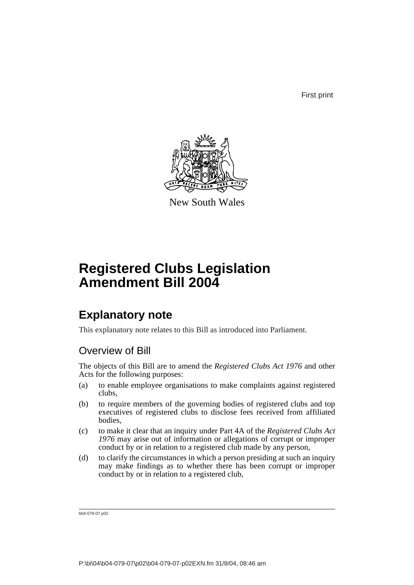First print



New South Wales

# **Registered Clubs Legislation Amendment Bill 2004**

# **Explanatory note**

This explanatory note relates to this Bill as introduced into Parliament.

# Overview of Bill

The objects of this Bill are to amend the *Registered Clubs Act 1976* and other Acts for the following purposes:

- (a) to enable employee organisations to make complaints against registered clubs,
- (b) to require members of the governing bodies of registered clubs and top executives of registered clubs to disclose fees received from affiliated bodies,
- (c) to make it clear that an inquiry under Part 4A of the *Registered Clubs Act 1976* may arise out of information or allegations of corrupt or improper conduct by or in relation to a registered club made by any person,
- (d) to clarify the circumstances in which a person presiding at such an inquiry may make findings as to whether there has been corrupt or improper conduct by or in relation to a registered club,

b04-079-07.p02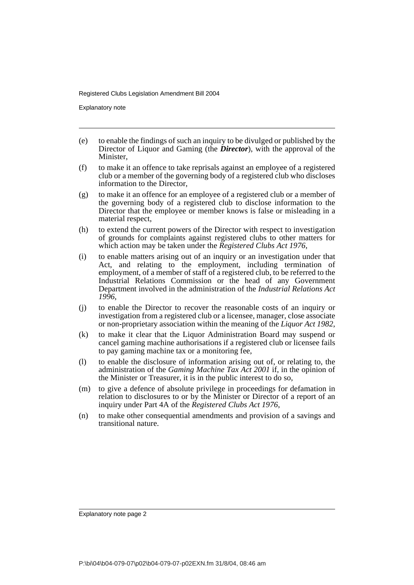Explanatory note

- (e) to enable the findings of such an inquiry to be divulged or published by the Director of Liquor and Gaming (the *Director*), with the approval of the Minister,
- (f) to make it an offence to take reprisals against an employee of a registered club or a member of the governing body of a registered club who discloses information to the Director,
- (g) to make it an offence for an employee of a registered club or a member of the governing body of a registered club to disclose information to the Director that the employee or member knows is false or misleading in a material respect,
- (h) to extend the current powers of the Director with respect to investigation of grounds for complaints against registered clubs to other matters for which action may be taken under the *Registered Clubs Act 1976*,
- (i) to enable matters arising out of an inquiry or an investigation under that Act, and relating to the employment, including termination of employment, of a member of staff of a registered club, to be referred to the Industrial Relations Commission or the head of any Government Department involved in the administration of the *Industrial Relations Act 1996*,
- (j) to enable the Director to recover the reasonable costs of an inquiry or investigation from a registered club or a licensee, manager, close associate or non-proprietary association within the meaning of the *Liquor Act 1982*,
- (k) to make it clear that the Liquor Administration Board may suspend or cancel gaming machine authorisations if a registered club or licensee fails to pay gaming machine tax or a monitoring fee,
- (l) to enable the disclosure of information arising out of, or relating to, the administration of the *Gaming Machine Tax Act 2001* if, in the opinion of the Minister or Treasurer, it is in the public interest to do so,
- (m) to give a defence of absolute privilege in proceedings for defamation in relation to disclosures to or by the Minister or Director of a report of an inquiry under Part 4A of the *Registered Clubs Act 1976*,
- (n) to make other consequential amendments and provision of a savings and transitional nature.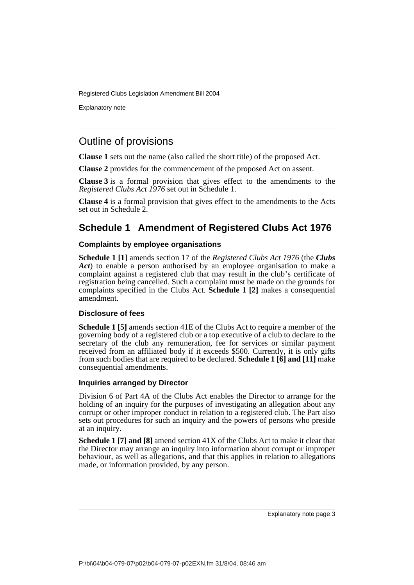Explanatory note

### Outline of provisions

**Clause 1** sets out the name (also called the short title) of the proposed Act.

**Clause 2** provides for the commencement of the proposed Act on assent.

**Clause 3** is a formal provision that gives effect to the amendments to the *Registered Clubs Act 1976* set out in Schedule 1.

**Clause 4** is a formal provision that gives effect to the amendments to the Acts set out in Schedule 2.

## **Schedule 1 Amendment of Registered Clubs Act 1976**

### **Complaints by employee organisations**

**Schedule 1 [1]** amends section 17 of the *Registered Clubs Act 1976* (the *Clubs Act*) to enable a person authorised by an employee organisation to make a complaint against a registered club that may result in the club's certificate of registration being cancelled. Such a complaint must be made on the grounds for complaints specified in the Clubs Act. **Schedule 1 [2]** makes a consequential amendment.

### **Disclosure of fees**

**Schedule 1 [5]** amends section 41E of the Clubs Act to require a member of the governing body of a registered club or a top executive of a club to declare to the secretary of the club any remuneration, fee for services or similar payment received from an affiliated body if it exceeds \$500. Currently, it is only gifts from such bodies that are required to be declared. **Schedule 1 [6] and [11]** make consequential amendments.

### **Inquiries arranged by Director**

Division 6 of Part 4A of the Clubs Act enables the Director to arrange for the holding of an inquiry for the purposes of investigating an allegation about any corrupt or other improper conduct in relation to a registered club. The Part also sets out procedures for such an inquiry and the powers of persons who preside at an inquiry.

**Schedule 1 [7] and [8]** amend section 41X of the Clubs Act to make it clear that the Director may arrange an inquiry into information about corrupt or improper behaviour, as well as allegations, and that this applies in relation to allegations made, or information provided, by any person.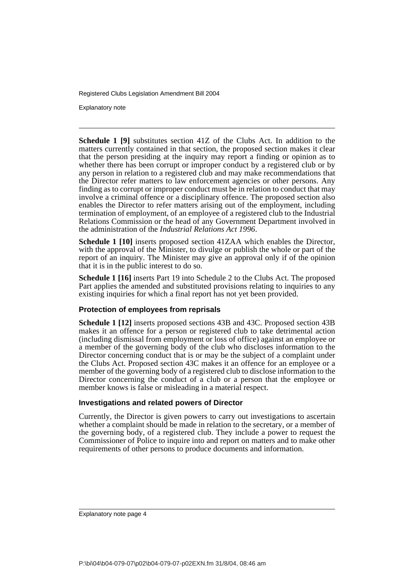Explanatory note

**Schedule 1 [9]** substitutes section 41Z of the Clubs Act. In addition to the matters currently contained in that section, the proposed section makes it clear that the person presiding at the inquiry may report a finding or opinion as to whether there has been corrupt or improper conduct by a registered club or by any person in relation to a registered club and may make recommendations that the Director refer matters to law enforcement agencies or other persons. Any finding as to corrupt or improper conduct must be in relation to conduct that may involve a criminal offence or a disciplinary offence. The proposed section also enables the Director to refer matters arising out of the employment, including termination of employment, of an employee of a registered club to the Industrial Relations Commission or the head of any Government Department involved in the administration of the *Industrial Relations Act 1996*.

**Schedule 1 [10]** inserts proposed section 41ZAA which enables the Director, with the approval of the Minister, to divulge or publish the whole or part of the report of an inquiry. The Minister may give an approval only if of the opinion that it is in the public interest to do so.

**Schedule 1 [16]** inserts Part 19 into Schedule 2 to the Clubs Act. The proposed Part applies the amended and substituted provisions relating to inquiries to any existing inquiries for which a final report has not yet been provided.

### **Protection of employees from reprisals**

**Schedule 1 [12]** inserts proposed sections 43B and 43C. Proposed section 43B makes it an offence for a person or registered club to take detrimental action (including dismissal from employment or loss of office) against an employee or a member of the governing body of the club who discloses information to the Director concerning conduct that is or may be the subject of a complaint under the Clubs Act. Proposed section 43C makes it an offence for an employee or a member of the governing body of a registered club to disclose information to the Director concerning the conduct of a club or a person that the employee or member knows is false or misleading in a material respect.

### **Investigations and related powers of Director**

Currently, the Director is given powers to carry out investigations to ascertain whether a complaint should be made in relation to the secretary, or a member of the governing body, of a registered club. They include a power to request the Commissioner of Police to inquire into and report on matters and to make other requirements of other persons to produce documents and information.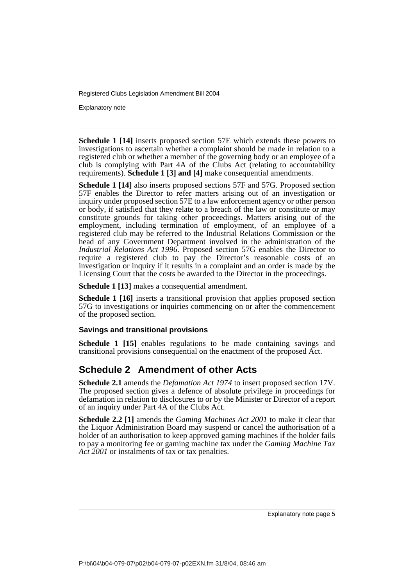Explanatory note

**Schedule 1 [14]** inserts proposed section 57E which extends these powers to investigations to ascertain whether a complaint should be made in relation to a registered club or whether a member of the governing body or an employee of a club is complying with Part 4A of the Clubs Act (relating to accountability requirements). **Schedule 1 [3] and [4]** make consequential amendments.

**Schedule 1 [14]** also inserts proposed sections 57F and 57G. Proposed section 57F enables the Director to refer matters arising out of an investigation or inquiry under proposed section 57E to a law enforcement agency or other person or body, if satisfied that they relate to a breach of the law or constitute or may constitute grounds for taking other proceedings. Matters arising out of the employment, including termination of employment, of an employee of a registered club may be referred to the Industrial Relations Commission or the head of any Government Department involved in the administration of the *Industrial Relations Act 1996*. Proposed section 57G enables the Director to require a registered club to pay the Director's reasonable costs of an investigation or inquiry if it results in a complaint and an order is made by the Licensing Court that the costs be awarded to the Director in the proceedings.

**Schedule 1 [13]** makes a consequential amendment.

**Schedule 1 [16]** inserts a transitional provision that applies proposed section 57G to investigations or inquiries commencing on or after the commencement of the proposed section.

### **Savings and transitional provisions**

**Schedule 1 [15]** enables regulations to be made containing savings and transitional provisions consequential on the enactment of the proposed Act.

### **Schedule 2 Amendment of other Acts**

**Schedule 2.1** amends the *Defamation Act 1974* to insert proposed section 17V. The proposed section gives a defence of absolute privilege in proceedings for defamation in relation to disclosures to or by the Minister or Director of a report of an inquiry under Part 4A of the Clubs Act.

**Schedule 2.2 [1]** amends the *Gaming Machines Act 2001* to make it clear that the Liquor Administration Board may suspend or cancel the authorisation of a holder of an authorisation to keep approved gaming machines if the holder fails to pay a monitoring fee or gaming machine tax under the *Gaming Machine Tax Act 2001* or instalments of tax or tax penalties.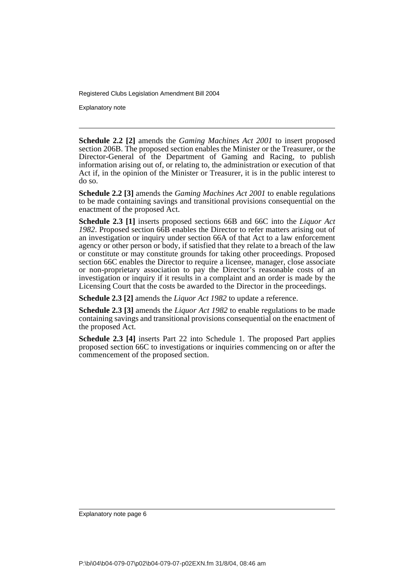Explanatory note

**Schedule 2.2 [2]** amends the *Gaming Machines Act 2001* to insert proposed section 206B. The proposed section enables the Minister or the Treasurer, or the Director-General of the Department of Gaming and Racing, to publish information arising out of, or relating to, the administration or execution of that Act if, in the opinion of the Minister or Treasurer, it is in the public interest to do so.

**Schedule 2.2 [3]** amends the *Gaming Machines Act 2001* to enable regulations to be made containing savings and transitional provisions consequential on the enactment of the proposed Act.

**Schedule 2.3 [1]** inserts proposed sections 66B and 66C into the *Liquor Act 1982*. Proposed section 66B enables the Director to refer matters arising out of an investigation or inquiry under section 66A of that Act to a law enforcement agency or other person or body, if satisfied that they relate to a breach of the law or constitute or may constitute grounds for taking other proceedings. Proposed section 66C enables the Director to require a licensee, manager, close associate or non-proprietary association to pay the Director's reasonable costs of an investigation or inquiry if it results in a complaint and an order is made by the Licensing Court that the costs be awarded to the Director in the proceedings.

**Schedule 2.3 [2]** amends the *Liquor Act 1982* to update a reference.

**Schedule 2.3 [3]** amends the *Liquor Act 1982* to enable regulations to be made containing savings and transitional provisions consequential on the enactment of the proposed Act.

**Schedule 2.3 [4]** inserts Part 22 into Schedule 1. The proposed Part applies proposed section 66C to investigations or inquiries commencing on or after the commencement of the proposed section.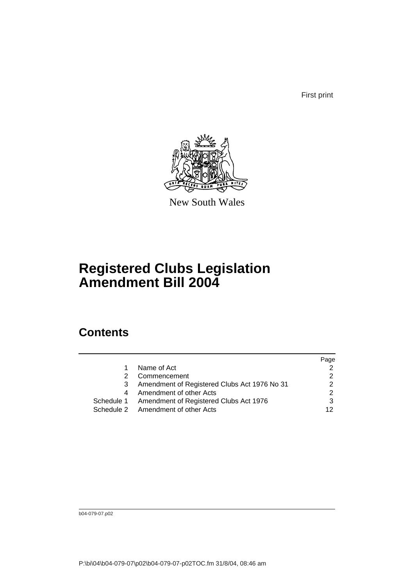First print



New South Wales

# **Registered Clubs Legislation Amendment Bill 2004**

# **Contents**

|   |                                                   | Page |
|---|---------------------------------------------------|------|
|   | Name of Act                                       |      |
|   | Commencement                                      |      |
| 3 | Amendment of Registered Clubs Act 1976 No 31      |      |
|   | Amendment of other Acts                           |      |
|   | Schedule 1 Amendment of Registered Clubs Act 1976 |      |
|   | Schedule 2 Amendment of other Acts                | 12   |

b04-079-07.p02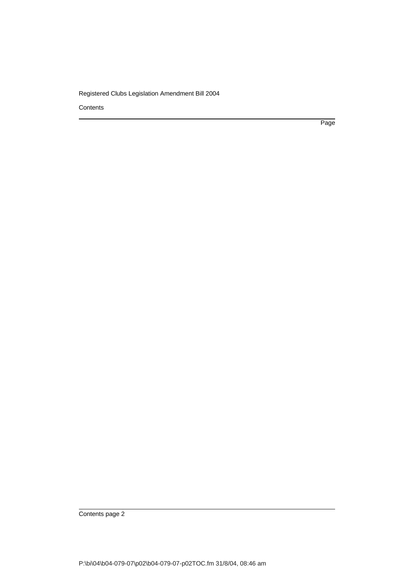**Contents** 

Page

Contents page 2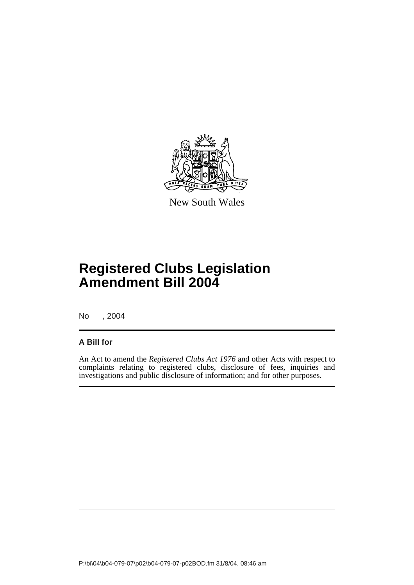

New South Wales

# **Registered Clubs Legislation Amendment Bill 2004**

No , 2004

### **A Bill for**

An Act to amend the *Registered Clubs Act 1976* and other Acts with respect to complaints relating to registered clubs, disclosure of fees, inquiries and investigations and public disclosure of information; and for other purposes.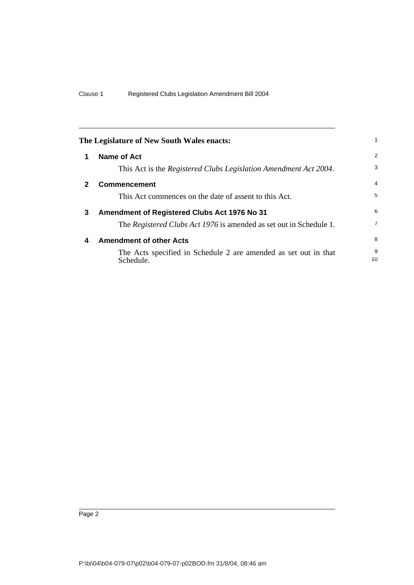<span id="page-9-3"></span><span id="page-9-2"></span><span id="page-9-1"></span><span id="page-9-0"></span>

|              | The Legislature of New South Wales enacts:                                   |         |
|--------------|------------------------------------------------------------------------------|---------|
| 1            | <b>Name of Act</b>                                                           | 2       |
|              | This Act is the Registered Clubs Legislation Amendment Act 2004.             | 3       |
| $\mathbf{2}$ | <b>Commencement</b>                                                          | 4       |
|              | This Act commences on the date of assent to this Act.                        | 5       |
| 3            | Amendment of Registered Clubs Act 1976 No 31                                 | 6       |
|              | The <i>Registered Clubs Act 1976</i> is amended as set out in Schedule 1.    | 7       |
| 4            | <b>Amendment of other Acts</b>                                               | 8       |
|              | The Acts specified in Schedule 2 are amended as set out in that<br>Schedule. | 9<br>10 |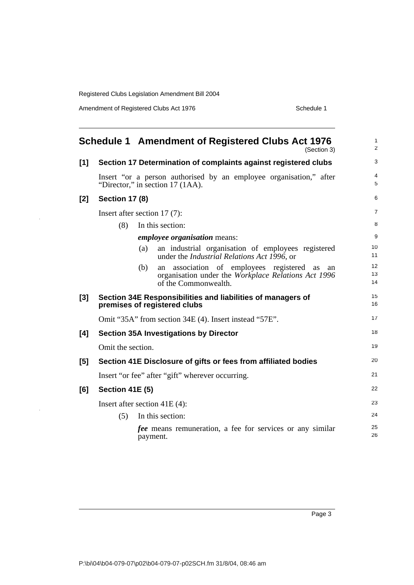Amendment of Registered Clubs Act 1976 Schedule 1

<span id="page-10-0"></span>

|       |                        | Schedule 1 Amendment of Registered Clubs Act 1976<br>(Section 3)                                                                            | 1<br>$\overline{2}$ |
|-------|------------------------|---------------------------------------------------------------------------------------------------------------------------------------------|---------------------|
| [1]   |                        | Section 17 Determination of complaints against registered clubs                                                                             | 3                   |
|       |                        | Insert "or a person authorised by an employee organisation," after<br>"Director," in section 17 (1AA).                                      | 4<br>5              |
| $[2]$ | <b>Section 17 (8)</b>  |                                                                                                                                             | 6                   |
|       |                        | Insert after section $17(7)$ :                                                                                                              | 7                   |
|       | (8)                    | In this section:                                                                                                                            | 8                   |
|       |                        | <i>employee organisation</i> means:                                                                                                         | 9                   |
|       |                        | an industrial organisation of employees registered<br>(a)<br>under the <i>Industrial Relations Act 1996</i> , or                            | 10<br>11            |
|       |                        | association of employees registered<br>(b)<br>as<br>an<br>an<br>organisation under the Workplace Relations Act 1996<br>of the Commonwealth. | 12<br>13<br>14      |
| $[3]$ |                        | Section 34E Responsibilities and liabilities of managers of<br>premises of registered clubs                                                 | 15<br>16            |
|       |                        | Omit "35A" from section 34E (4). Insert instead "57E".                                                                                      | 17                  |
| [4]   |                        | <b>Section 35A Investigations by Director</b>                                                                                               | 18                  |
|       | Omit the section.      |                                                                                                                                             | 19                  |
| [5]   |                        | Section 41E Disclosure of gifts or fees from affiliated bodies                                                                              | 20                  |
|       |                        | Insert "or fee" after "gift" wherever occurring.                                                                                            | 21                  |
| [6]   | <b>Section 41E (5)</b> |                                                                                                                                             | 22                  |
|       |                        | Insert after section $41E(4)$ :                                                                                                             | 23                  |
|       | (5)                    | In this section:                                                                                                                            | 24                  |
|       |                        | <i>fee</i> means remuneration, a fee for services or any similar<br>payment.                                                                | 25<br>26            |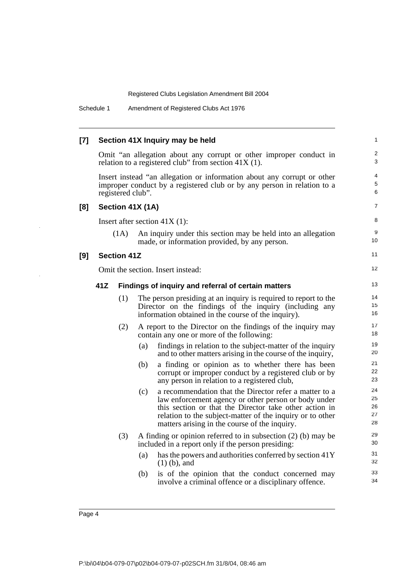| $[7]$ |     |                    |     | Section 41X Inquiry may be held                                                                                                                                                                                                                                                        | $\mathbf{1}$               |
|-------|-----|--------------------|-----|----------------------------------------------------------------------------------------------------------------------------------------------------------------------------------------------------------------------------------------------------------------------------------------|----------------------------|
|       |     |                    |     | Omit "an allegation about any corrupt or other improper conduct in<br>relation to a registered club" from section $41X(1)$ .                                                                                                                                                           | 2<br>3                     |
|       |     | registered club".  |     | Insert instead "an allegation or information about any corrupt or other<br>improper conduct by a registered club or by any person in relation to a                                                                                                                                     | 4<br>5<br>6                |
| [8]   |     | Section 41X (1A)   |     |                                                                                                                                                                                                                                                                                        | $\overline{7}$             |
|       |     |                    |     | Insert after section $41X(1)$ :                                                                                                                                                                                                                                                        | 8                          |
|       |     | (1A)               |     | An inquiry under this section may be held into an allegation<br>made, or information provided, by any person.                                                                                                                                                                          | 9<br>10                    |
| [9]   |     | <b>Section 41Z</b> |     |                                                                                                                                                                                                                                                                                        | 11                         |
|       |     |                    |     | Omit the section. Insert instead:                                                                                                                                                                                                                                                      | 12                         |
|       | 41Z |                    |     | Findings of inquiry and referral of certain matters                                                                                                                                                                                                                                    | 13                         |
|       |     | (1)                |     | The person presiding at an inquiry is required to report to the<br>Director on the findings of the inquiry (including any<br>information obtained in the course of the inquiry).                                                                                                       | 14<br>15<br>16             |
|       |     | (2)                |     | A report to the Director on the findings of the inquiry may<br>contain any one or more of the following:                                                                                                                                                                               | 17<br>18                   |
|       |     |                    | (a) | findings in relation to the subject-matter of the inquiry<br>and to other matters arising in the course of the inquiry,                                                                                                                                                                | 19<br>20                   |
|       |     |                    | (b) | a finding or opinion as to whether there has been<br>corrupt or improper conduct by a registered club or by<br>any person in relation to a registered club,                                                                                                                            | 21<br>22<br>23             |
|       |     |                    | (c) | a recommendation that the Director refer a matter to a<br>law enforcement agency or other person or body under<br>this section or that the Director take other action in<br>relation to the subject-matter of the inquiry or to other<br>matters arising in the course of the inquiry. | 24<br>25<br>26<br>27<br>28 |
|       |     | (3)                |     | A finding or opinion referred to in subsection $(2)$ (b) may be<br>included in a report only if the person presiding:                                                                                                                                                                  | 29<br>30                   |
|       |     |                    | (a) | has the powers and authorities conferred by section 41Y<br>$(1)$ (b), and                                                                                                                                                                                                              | 31<br>32                   |
|       |     |                    | (b) | is of the opinion that the conduct concerned may<br>involve a criminal offence or a disciplinary offence.                                                                                                                                                                              | 33<br>34                   |

Page 4

l,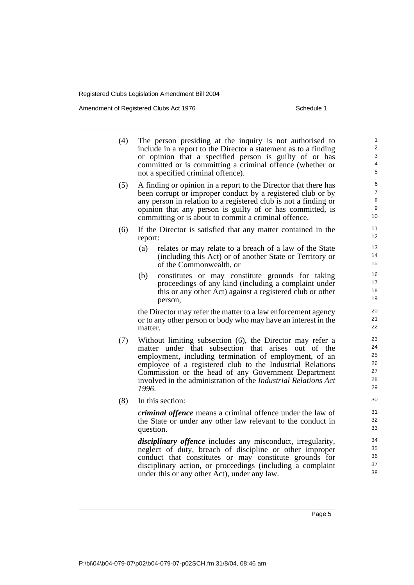Amendment of Registered Clubs Act 1976 **Schedule 1** Schedule 1

- (4) The person presiding at the inquiry is not authorised to include in a report to the Director a statement as to a finding or opinion that a specified person is guilty of or has committed or is committing a criminal offence (whether or not a specified criminal offence).
- (5) A finding or opinion in a report to the Director that there has been corrupt or improper conduct by a registered club or by any person in relation to a registered club is not a finding or opinion that any person is guilty of or has committed, is committing or is about to commit a criminal offence.
- (6) If the Director is satisfied that any matter contained in the report:
	- (a) relates or may relate to a breach of a law of the State (including this Act) or of another State or Territory or of the Commonwealth, or
	- (b) constitutes or may constitute grounds for taking proceedings of any kind (including a complaint under this or any other Act) against a registered club or other person,

the Director may refer the matter to a law enforcement agency or to any other person or body who may have an interest in the matter.

- (7) Without limiting subsection (6), the Director may refer a matter under that subsection that arises out of the employment, including termination of employment, of an employee of a registered club to the Industrial Relations Commission or the head of any Government Department involved in the administration of the *Industrial Relations Act 1996*.
- (8) In this section:

*criminal offence* means a criminal offence under the law of the State or under any other law relevant to the conduct in question.

*disciplinary offence* includes any misconduct, irregularity, neglect of duty, breach of discipline or other improper conduct that constitutes or may constitute grounds for disciplinary action, or proceedings (including a complaint under this or any other Act), under any law.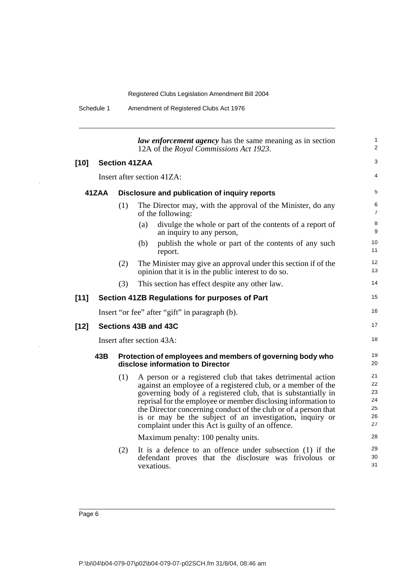Schedule 1 Amendment of Registered Clubs Act 1976

*law enforcement agency* has the same meaning as in section 12A of the *Royal Commissions Act 1923*.

1  $\overline{2}$ 

3

4

15

16 17

18

### **[10] Section 41ZAA**

Insert after section 41ZA:

#### **41ZAA Disclosure and publication of inquiry reports**

| (1) |     | The Director may, with the approval of the Minister, do any<br>of the following:      |  |  |
|-----|-----|---------------------------------------------------------------------------------------|--|--|
|     | (a) | divulge the whole or part of the contents of a report of<br>an inquiry to any person, |  |  |
|     | (b) | publish the whole or part of the contents of any such                                 |  |  |

- report. (2) The Minister may give an approval under this section if of the opinion that it is in the public interest to do so.
- (3) This section has effect despite any other law.

#### **[11] Section 41ZB Regulations for purposes of Part**

Insert "or fee" after "gift" in paragraph (b).

#### **[12] Sections 43B and 43C**

Insert after section 43A:

#### **43B Protection of employees and members of governing body who disclose information to Director**

(1) A person or a registered club that takes detrimental action against an employee of a registered club, or a member of the governing body of a registered club, that is substantially in reprisal for the employee or member disclosing information to the Director concerning conduct of the club or of a person that is or may be the subject of an investigation, inquiry or complaint under this Act is guilty of an offence.

Maximum penalty: 100 penalty units.

(2) It is a defence to an offence under subsection (1) if the defendant proves that the disclosure was frivolous or vexatious.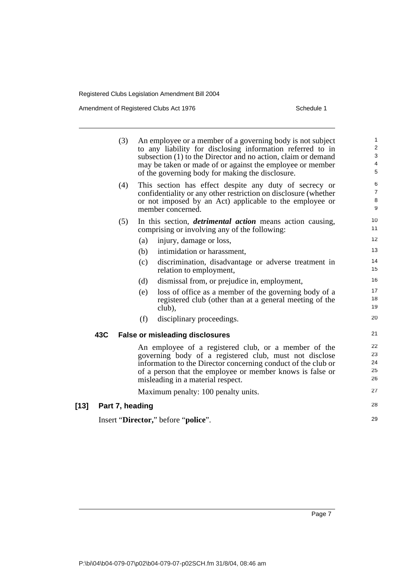Amendment of Registered Clubs Act 1976 Schedule 1

|        |     | (3)             | An employee or a member of a governing body is not subject<br>to any liability for disclosing information referred to in<br>subsection (1) to the Director and no action, claim or demand<br>may be taken or made of or against the employee or member<br>of the governing body for making the disclosure. | $\mathbf{1}$<br>$\sqrt{2}$<br>$\sqrt{3}$<br>$\overline{4}$<br>5 |
|--------|-----|-----------------|------------------------------------------------------------------------------------------------------------------------------------------------------------------------------------------------------------------------------------------------------------------------------------------------------------|-----------------------------------------------------------------|
|        |     | (4)             | This section has effect despite any duty of secrecy or<br>confidentiality or any other restriction on disclosure (whether<br>or not imposed by an Act) applicable to the employee or<br>member concerned.                                                                                                  | 6<br>$\overline{7}$<br>$\bf 8$<br>$\boldsymbol{9}$              |
|        |     | (5)             | In this section, <i>detrimental action</i> means action causing,<br>comprising or involving any of the following:                                                                                                                                                                                          | 10<br>11                                                        |
|        |     |                 | (a)<br>injury, damage or loss,                                                                                                                                                                                                                                                                             | 12                                                              |
|        |     |                 | intimidation or harassment,<br>(b)                                                                                                                                                                                                                                                                         | 13                                                              |
|        |     |                 | discrimination, disadvantage or adverse treatment in<br>(c)<br>relation to employment,                                                                                                                                                                                                                     | 14<br>15                                                        |
|        |     |                 | dismissal from, or prejudice in, employment,<br>(d)                                                                                                                                                                                                                                                        | 16                                                              |
|        |     |                 | (e)<br>loss of office as a member of the governing body of a<br>registered club (other than at a general meeting of the<br>club),                                                                                                                                                                          | 17<br>18<br>19                                                  |
|        |     |                 | (f)<br>disciplinary proceedings.                                                                                                                                                                                                                                                                           | 20                                                              |
|        | 43C |                 | <b>False or misleading disclosures</b>                                                                                                                                                                                                                                                                     | 21                                                              |
|        |     |                 | An employee of a registered club, or a member of the<br>governing body of a registered club, must not disclose<br>information to the Director concerning conduct of the club or<br>of a person that the employee or member knows is false or<br>misleading in a material respect.                          | 22<br>23<br>24<br>25<br>26<br>27                                |
|        |     |                 | Maximum penalty: 100 penalty units.                                                                                                                                                                                                                                                                        |                                                                 |
| $[13]$ |     | Part 7, heading |                                                                                                                                                                                                                                                                                                            | 28                                                              |
|        |     |                 | Insert "Director," before "police".                                                                                                                                                                                                                                                                        | 29                                                              |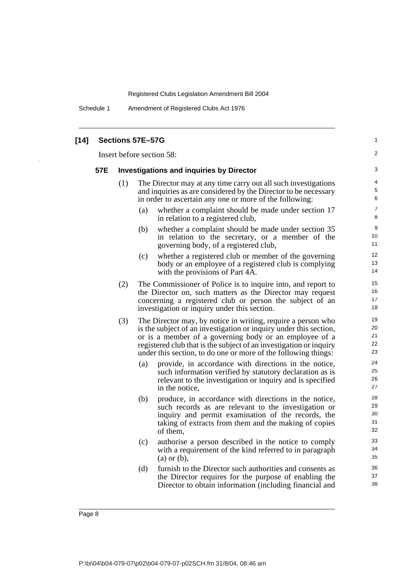Schedule 1 Amendment of Registered Clubs Act 1976

| $[14]$ |     | Sections 57E-57G                                                                                                                                                                                                                                                                                                                    | 1                          |
|--------|-----|-------------------------------------------------------------------------------------------------------------------------------------------------------------------------------------------------------------------------------------------------------------------------------------------------------------------------------------|----------------------------|
|        |     | Insert before section 58:                                                                                                                                                                                                                                                                                                           | $\overline{c}$             |
| 57E    |     | <b>Investigations and inquiries by Director</b>                                                                                                                                                                                                                                                                                     | 3                          |
|        | (1) | The Director may at any time carry out all such investigations<br>and inquiries as are considered by the Director to be necessary<br>in order to ascertain any one or more of the following:                                                                                                                                        | 4<br>5<br>$\,6$            |
|        |     | whether a complaint should be made under section 17<br>(a)<br>in relation to a registered club,                                                                                                                                                                                                                                     | $\overline{7}$<br>8        |
|        |     | whether a complaint should be made under section 35<br>(b)<br>in relation to the secretary, or a member of the<br>governing body, of a registered club,                                                                                                                                                                             | 9<br>10<br>11              |
|        |     | whether a registered club or member of the governing<br>(c)<br>body or an employee of a registered club is complying<br>with the provisions of Part 4A.                                                                                                                                                                             | 12<br>13<br>14             |
|        | (2) | The Commissioner of Police is to inquire into, and report to<br>the Director on, such matters as the Director may request<br>concerning a registered club or person the subject of an<br>investigation or inquiry under this section.                                                                                               | 15<br>16<br>17<br>18       |
|        | (3) | The Director may, by notice in writing, require a person who<br>is the subject of an investigation or inquiry under this section,<br>or is a member of a governing body or an employee of a<br>registered club that is the subject of an investigation or inquiry<br>under this section, to do one or more of the following things: | 19<br>20<br>21<br>22<br>23 |
|        |     | provide, in accordance with directions in the notice,<br>(a)<br>such information verified by statutory declaration as is<br>relevant to the investigation or inquiry and is specified<br>in the notice,                                                                                                                             | 24<br>25<br>26<br>27       |
|        |     | produce, in accordance with directions in the notice,<br>(b)<br>such records as are relevant to the investigation or<br>inquiry and permit examination of the records, the<br>taking of extracts from them and the making of copies<br>of them,                                                                                     | 28<br>29<br>30<br>31<br>32 |
|        |     | authorise a person described in the notice to comply<br>(c)<br>with a requirement of the kind referred to in paragraph<br>$(a)$ or $(b)$ ,                                                                                                                                                                                          | 33<br>34<br>35             |
|        |     | furnish to the Director such authorities and consents as<br>(d)<br>the Director requires for the purpose of enabling the<br>Director to obtain information (including financial and                                                                                                                                                 | 36<br>37<br>38             |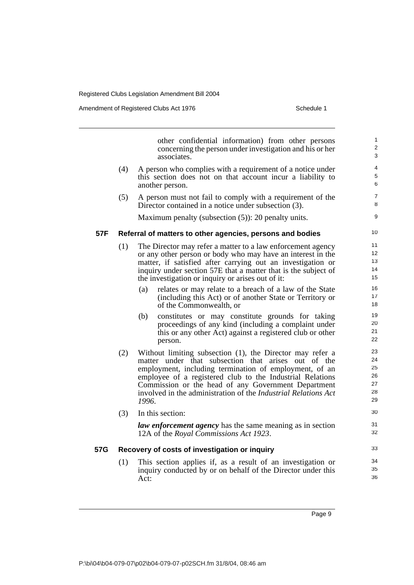Amendment of Registered Clubs Act 1976 **Schedule 1** Schedule 1

other confidential information) from other persons concerning the person under investigation and his or her associates. (4) A person who complies with a requirement of a notice under this section does not on that account incur a liability to another person. (5) A person must not fail to comply with a requirement of the Director contained in a notice under subsection (3). Maximum penalty (subsection (5)): 20 penalty units. **57F Referral of matters to other agencies, persons and bodies** (1) The Director may refer a matter to a law enforcement agency or any other person or body who may have an interest in the matter, if satisfied after carrying out an investigation or inquiry under section 57E that a matter that is the subject of the investigation or inquiry or arises out of it: (a) relates or may relate to a breach of a law of the State (including this Act) or of another State or Territory or of the Commonwealth, or (b) constitutes or may constitute grounds for taking proceedings of any kind (including a complaint under this or any other Act) against a registered club or other person. (2) Without limiting subsection (1), the Director may refer a matter under that subsection that arises out of the employment, including termination of employment, of an employee of a registered club to the Industrial Relations Commission or the head of any Government Department involved in the administration of the *Industrial Relations Act 1996*. (3) In this section: *law enforcement agency* has the same meaning as in section 12A of the *Royal Commissions Act 1923*. **57G Recovery of costs of investigation or inquiry** (1) This section applies if, as a result of an investigation or inquiry conducted by or on behalf of the Director under this 1  $\overline{2}$ 3 4 5 6 7 8 9 10 11 12 13 14 15 16 17 18 19  $20$ 21 22 23 24 25 26 27 28 29 30 31 32 33 34 35 36

Page 9

Act: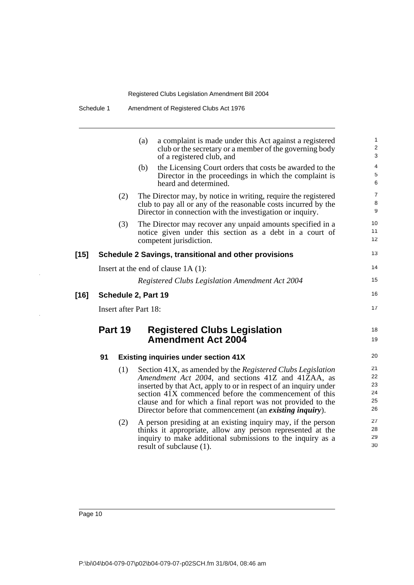|        |    |         | a complaint is made under this Act against a registered<br>(a)<br>club or the secretary or a member of the governing body<br>of a registered club, and                                                                                                                                                                                                                            | 1<br>$\overline{\mathbf{c}}$<br>3  |
|--------|----|---------|-----------------------------------------------------------------------------------------------------------------------------------------------------------------------------------------------------------------------------------------------------------------------------------------------------------------------------------------------------------------------------------|------------------------------------|
|        |    |         | (b)<br>the Licensing Court orders that costs be awarded to the<br>Director in the proceedings in which the complaint is<br>heard and determined.                                                                                                                                                                                                                                  | $\overline{\mathcal{L}}$<br>5<br>6 |
|        |    | (2)     | The Director may, by notice in writing, require the registered<br>club to pay all or any of the reasonable costs incurred by the<br>Director in connection with the investigation or inquiry.                                                                                                                                                                                     | 7<br>8<br>9                        |
|        |    | (3)     | The Director may recover any unpaid amounts specified in a<br>notice given under this section as a debt in a court of<br>competent jurisdiction.                                                                                                                                                                                                                                  | 10<br>11<br>12                     |
| $[15]$ |    |         | Schedule 2 Savings, transitional and other provisions                                                                                                                                                                                                                                                                                                                             | 13                                 |
|        |    |         | Insert at the end of clause $1A(1)$ :                                                                                                                                                                                                                                                                                                                                             | 14                                 |
|        |    |         | Registered Clubs Legislation Amendment Act 2004                                                                                                                                                                                                                                                                                                                                   | 15                                 |
| $[16]$ |    |         | Schedule 2, Part 19                                                                                                                                                                                                                                                                                                                                                               | 16                                 |
|        |    |         | <b>Insert after Part 18:</b>                                                                                                                                                                                                                                                                                                                                                      | 17                                 |
|        |    | Part 19 | <b>Registered Clubs Legislation</b><br>Amendment Act 2004                                                                                                                                                                                                                                                                                                                         | 18<br>19                           |
|        | 91 |         | <b>Existing inquiries under section 41X</b>                                                                                                                                                                                                                                                                                                                                       | 20                                 |
|        |    | (1)     | Section 41X, as amended by the Registered Clubs Legislation<br>Amendment Act 2004, and sections 41Z and 41ZAA, as<br>inserted by that Act, apply to or in respect of an inquiry under<br>section 41X commenced before the commencement of this<br>clause and for which a final report was not provided to the<br>Director before that commencement (an <i>existing inquiry</i> ). | 21<br>22<br>23<br>24<br>25<br>26   |
|        |    | (2)     | A person presiding at an existing inquiry may, if the person<br>thinks it appropriate, allow any person represented at the<br>inquiry to make additional submissions to the inquiry as a<br>result of subclause (1).                                                                                                                                                              | 27<br>28<br>29<br>30               |
|        |    |         |                                                                                                                                                                                                                                                                                                                                                                                   |                                    |

 $\bar{z}$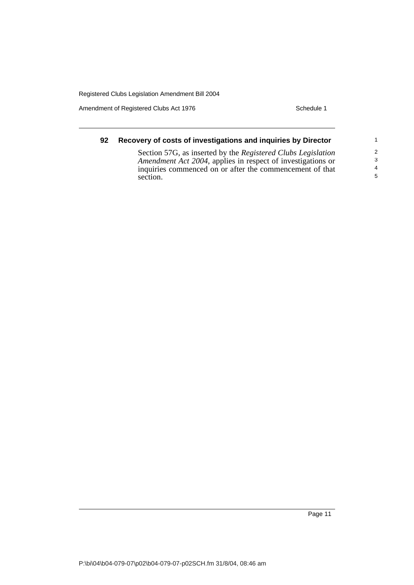Amendment of Registered Clubs Act 1976 Schedule 1

| 92 | Recovery of costs of investigations and inquiries by Director | 1              |
|----|---------------------------------------------------------------|----------------|
|    | Section 57G, as inserted by the Registered Clubs Legislation  | 2              |
|    | Amendment Act 2004, applies in respect of investigations or   | 3              |
|    | inquiries commenced on or after the commencement of that      | $\overline{4}$ |
|    | section.                                                      | .5             |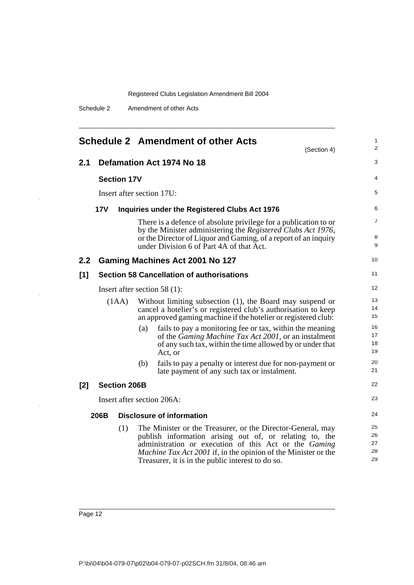Schedule 2 Amendment of other Acts

<span id="page-19-0"></span>

|                            | <b>Schedule 2 Amendment of other Acts</b><br>(Section 4)                                                                                                                                                                                                                                                      | 1<br>$\overline{2}$        |
|----------------------------|---------------------------------------------------------------------------------------------------------------------------------------------------------------------------------------------------------------------------------------------------------------------------------------------------------------|----------------------------|
| 2.1                        | <b>Defamation Act 1974 No 18</b>                                                                                                                                                                                                                                                                              | 3                          |
| <b>Section 17V</b>         |                                                                                                                                                                                                                                                                                                               | 4                          |
|                            | Insert after section 17U:                                                                                                                                                                                                                                                                                     | 5                          |
| 17V                        | Inquiries under the Registered Clubs Act 1976                                                                                                                                                                                                                                                                 | 6                          |
|                            | There is a defence of absolute privilege for a publication to or<br>by the Minister administering the Registered Clubs Act 1976,<br>or the Director of Liquor and Gaming, of a report of an inquiry<br>under Division 6 of Part 4A of that Act.                                                               | $\overline{7}$<br>8<br>9   |
| 2.2                        | Gaming Machines Act 2001 No 127                                                                                                                                                                                                                                                                               | 10                         |
| [1]                        | <b>Section 58 Cancellation of authorisations</b>                                                                                                                                                                                                                                                              | 11                         |
|                            | Insert after section 58 $(1)$ :                                                                                                                                                                                                                                                                               | 12                         |
| (1AA)                      | Without limiting subsection $(1)$ , the Board may suspend or<br>cancel a hotelier's or registered club's authorisation to keep<br>an approved gaming machine if the hotelier or registered club:                                                                                                              | 13<br>14<br>15             |
|                            | fails to pay a monitoring fee or tax, within the meaning<br>(a)<br>of the <i>Gaming Machine Tax Act 2001</i> , or an instalment<br>of any such tax, within the time allowed by or under that<br>Act, or                                                                                                       | 16<br>17<br>18<br>19       |
|                            | fails to pay a penalty or interest due for non-payment or<br>(b)<br>late payment of any such tax or instalment.                                                                                                                                                                                               | 20<br>21                   |
| <b>Section 206B</b><br>[2] |                                                                                                                                                                                                                                                                                                               | 22                         |
|                            | Insert after section 206A:                                                                                                                                                                                                                                                                                    | 23                         |
| 206B                       | <b>Disclosure of information</b>                                                                                                                                                                                                                                                                              | 24                         |
| (1)                        | The Minister or the Treasurer, or the Director-General, may<br>publish information arising out of, or relating to, the<br>administration or execution of this Act or the Gaming<br><i>Machine Tax Act 2001</i> if, in the opinion of the Minister or the<br>Treasurer, it is in the public interest to do so. | 25<br>26<br>27<br>28<br>29 |
|                            |                                                                                                                                                                                                                                                                                                               |                            |

 $\frac{1}{2}$ 

 $\cdot$ 

 $\bar{z}$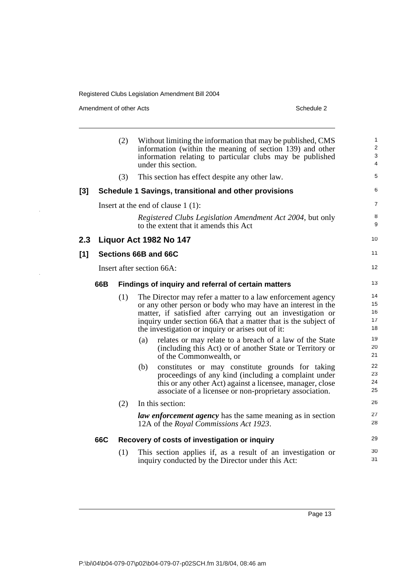Amendment of other Acts Schedule 2

 $\frac{1}{2}$ 

|       |     | (2) | Without limiting the information that may be published, CMS<br>information (within the meaning of section 139) and other<br>information relating to particular clubs may be published<br>under this section.                                                                                                     | 1<br>$\overline{2}$<br>$\sqrt{3}$<br>4 |
|-------|-----|-----|------------------------------------------------------------------------------------------------------------------------------------------------------------------------------------------------------------------------------------------------------------------------------------------------------------------|----------------------------------------|
|       |     | (3) | This section has effect despite any other law.                                                                                                                                                                                                                                                                   | 5                                      |
| $[3]$ |     |     | Schedule 1 Savings, transitional and other provisions                                                                                                                                                                                                                                                            | 6                                      |
|       |     |     | Insert at the end of clause $1(1)$ :                                                                                                                                                                                                                                                                             | $\overline{7}$                         |
|       |     |     | Registered Clubs Legislation Amendment Act 2004, but only<br>to the extent that it amends this Act                                                                                                                                                                                                               | 8<br>9                                 |
| 2.3   |     |     | Liquor Act 1982 No 147                                                                                                                                                                                                                                                                                           | 10                                     |
| [1]   |     |     | Sections 66B and 66C                                                                                                                                                                                                                                                                                             | 11                                     |
|       |     |     | Insert after section 66A:                                                                                                                                                                                                                                                                                        | 12                                     |
|       | 66B |     | Findings of inquiry and referral of certain matters                                                                                                                                                                                                                                                              | 13                                     |
|       |     | (1) | The Director may refer a matter to a law enforcement agency<br>or any other person or body who may have an interest in the<br>matter, if satisfied after carrying out an investigation or<br>inquiry under section 66A that a matter that is the subject of<br>the investigation or inquiry or arises out of it: | 14<br>15<br>16<br>17<br>18             |
|       |     |     | relates or may relate to a breach of a law of the State<br>(a)<br>(including this Act) or of another State or Territory or<br>of the Commonwealth, or                                                                                                                                                            | 19<br>20<br>21                         |
|       |     |     | constitutes or may constitute grounds for taking<br>(b)<br>proceedings of any kind (including a complaint under<br>this or any other Act) against a licensee, manager, close<br>associate of a licensee or non-proprietary association.                                                                          | 22<br>23<br>24<br>25                   |
|       |     | (2) | In this section:                                                                                                                                                                                                                                                                                                 | 26                                     |
|       |     |     | law enforcement agency has the same meaning as in section<br>12A of the Royal Commissions Act 1923.                                                                                                                                                                                                              | 27<br>28                               |
|       | 66C |     | Recovery of costs of investigation or inquiry                                                                                                                                                                                                                                                                    | 29                                     |
|       |     | (1) | This section applies if, as a result of an investigation or<br>inquiry conducted by the Director under this Act:                                                                                                                                                                                                 | 30<br>31                               |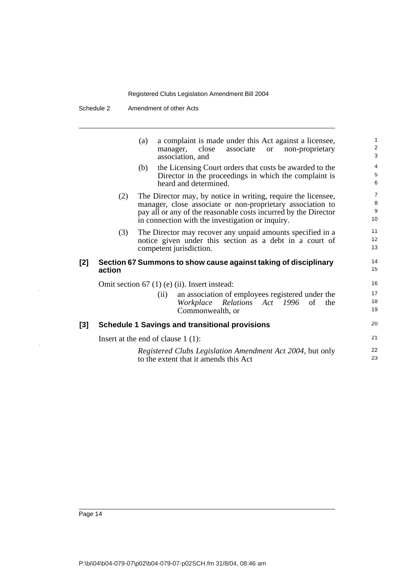|     |        | a complaint is made under this Act against a licensee,<br>(a)<br>associate<br>close<br>manager,<br>or non-proprietary<br>association, and                                                                                                          | 1<br>$\overline{\mathbf{c}}$<br>3 |
|-----|--------|----------------------------------------------------------------------------------------------------------------------------------------------------------------------------------------------------------------------------------------------------|-----------------------------------|
|     |        | the Licensing Court orders that costs be awarded to the<br>(b)<br>Director in the proceedings in which the complaint is<br>heard and determined.                                                                                                   | 4<br>5<br>6                       |
|     | (2)    | The Director may, by notice in writing, require the licensee,<br>manager, close associate or non-proprietary association to<br>pay all or any of the reasonable costs incurred by the Director<br>in connection with the investigation or inquiry. | 7<br>8<br>9<br>10                 |
|     | (3)    | The Director may recover any unpaid amounts specified in a<br>notice given under this section as a debt in a court of<br>competent jurisdiction.                                                                                                   | 11<br>12<br>13                    |
| [2] | action | Section 67 Summons to show cause against taking of disciplinary                                                                                                                                                                                    | 14<br>15                          |
|     |        | Omit section $67$ (1) (e) (ii). Insert instead:<br>(ii)<br>an association of employees registered under the<br>Workplace Relations Act 1996<br>of<br>the<br>Commonwealth, or                                                                       | 16<br>17<br>18<br>19              |
| [3] |        | <b>Schedule 1 Savings and transitional provisions</b>                                                                                                                                                                                              | 20                                |
|     |        | Insert at the end of clause $1(1)$ :                                                                                                                                                                                                               | 21                                |
|     |        | Registered Clubs Legislation Amendment Act 2004, but only<br>to the extent that it amends this Act                                                                                                                                                 | 22<br>23                          |

 $\bar{z}$